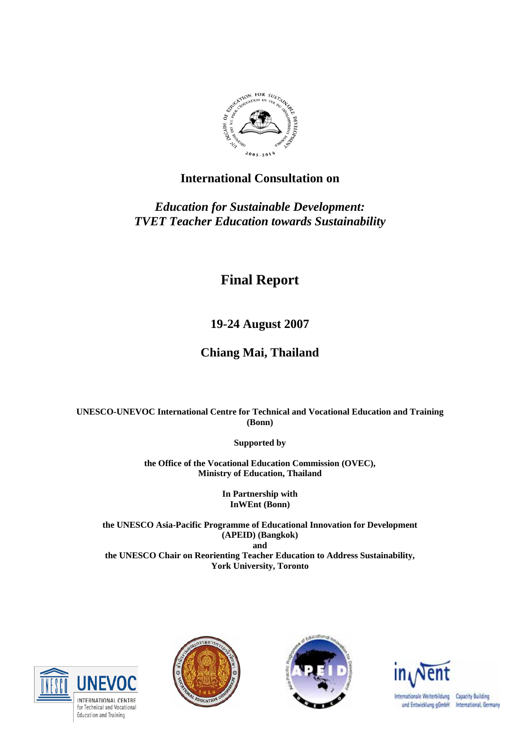

# **International Consultation on**

*Education for Sustainable Development: TVET Teacher Education towards Sustainability* 

# **Final Report**

**19-24 August 2007** 

# **Chiang Mai, Thailand**

**UNESCO-UNEVOC International Centre for Technical and Vocational Education and Training (Bonn)** 

**Supported by** 

**the Office of the Vocational Education Commission (OVEC), Ministry of Education, Thailand** 

> **In Partnership with InWEnt (Bonn)**

**the UNESCO Asia-Pacific Programme of Educational Innovation for Development (APEID) (Bangkok) and the UNESCO Chair on Reorienting Teacher Education to Address Sustainability, York University, Toronto**









Internationale Weiterbildung Capacity Building und Entwicklung gGmbH International, Germany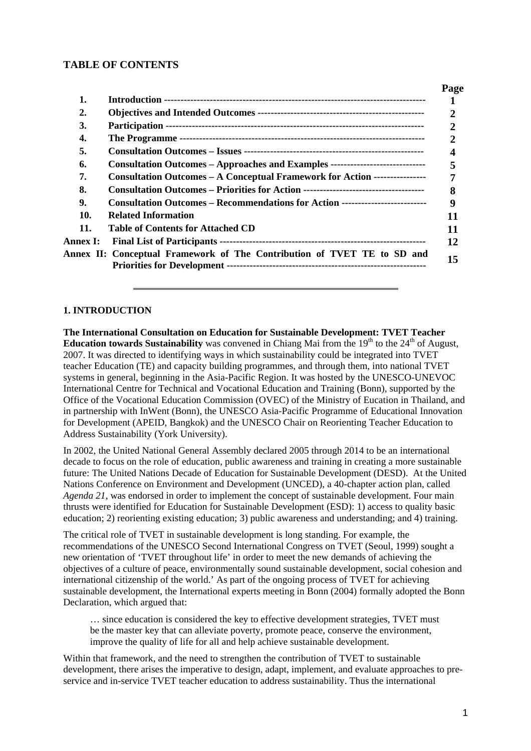## **TABLE OF CONTENTS**

|                 |                                                                                        | Page          |
|-----------------|----------------------------------------------------------------------------------------|---------------|
| 1.              |                                                                                        |               |
| 2.              |                                                                                        | 2             |
| 3.              |                                                                                        |               |
| 4.              |                                                                                        | $\mathcal{D}$ |
| 5.              |                                                                                        |               |
| 6.              | <b>Consultation Outcomes – Approaches and Examples -------------------------------</b> |               |
| 7.              | <b>Consultation Outcomes – A Conceptual Framework for Action ----------------</b>      |               |
| 8.              |                                                                                        | 8             |
| 9.              | Consultation Outcomes – Recommendations for Action ----------------------------        | 9             |
| 10.             | <b>Related Information</b>                                                             |               |
| 11.             | <b>Table of Contents for Attached CD</b>                                               | 11            |
| <b>Annex I:</b> |                                                                                        | 12            |
|                 | Annex II: Conceptual Framework of The Contribution of TVET TE to SD and                | 15            |
|                 |                                                                                        |               |

#### **1. INTRODUCTION**

**The International Consultation on Education for Sustainable Development: TVET Teacher Education towards Sustainability** was convened in Chiang Mai from the  $19<sup>th</sup>$  to the  $24<sup>th</sup>$  of August, 2007. It was directed to identifying ways in which sustainability could be integrated into TVET teacher Education (TE) and capacity building programmes, and through them, into national TVET systems in general, beginning in the Asia-Pacific Region. It was hosted by the UNESCO-UNEVOC International Centre for Technical and Vocational Education and Training (Bonn), supported by the Office of the Vocational Education Commission (OVEC) of the Ministry of Eucation in Thailand, and in partnership with InWent (Bonn), the UNESCO Asia-Pacific Programme of Educational Innovation for Development (APEID, Bangkok) and the UNESCO Chair on Reorienting Teacher Education to Address Sustainability (York University).

In 2002, the United National General Assembly declared 2005 through 2014 to be an international decade to focus on the role of education, public awareness and training in creating a more sustainable future: The United Nations Decade of Education for Sustainable Development (DESD). At the United Nations Conference on Environment and Development (UNCED), a 40-chapter action plan, called *Agenda 21*, was endorsed in order to implement the concept of sustainable development. Four main thrusts were identified for Education for Sustainable Development (ESD): 1) access to quality basic education; 2) reorienting existing education; 3) public awareness and understanding; and 4) training.

The critical role of TVET in sustainable development is long standing. For example, the recommendations of the UNESCO Second International Congress on TVET (Seoul, 1999) sought a new orientation of 'TVET throughout life' in order to meet the new demands of achieving the objectives of a culture of peace, environmentally sound sustainable development, social cohesion and international citizenship of the world.' As part of the ongoing process of TVET for achieving sustainable development, the International experts meeting in Bonn (2004) formally adopted the Bonn Declaration, which argued that:

… since education is considered the key to effective development strategies, TVET must be the master key that can alleviate poverty, promote peace, conserve the environment, improve the quality of life for all and help achieve sustainable development.

Within that framework, and the need to strengthen the contribution of TVET to sustainable development, there arises the imperative to design, adapt, implement, and evaluate approaches to preservice and in-service TVET teacher education to address sustainability. Thus the international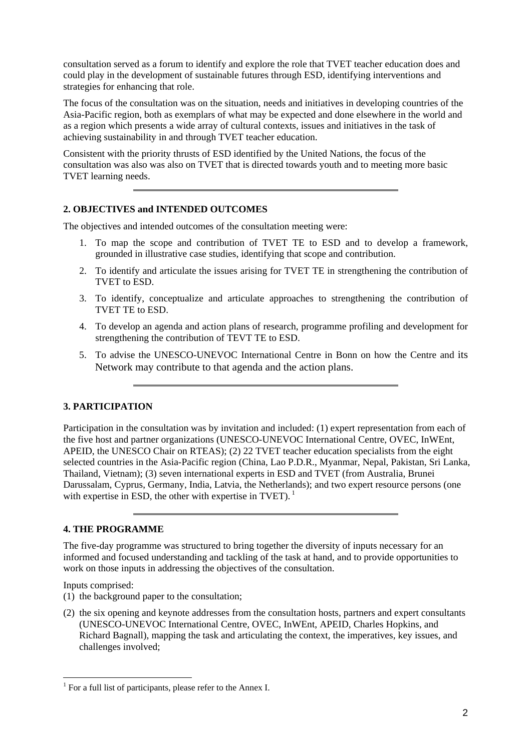consultation served as a forum to identify and explore the role that TVET teacher education does and could play in the development of sustainable futures through ESD, identifying interventions and strategies for enhancing that role.

The focus of the consultation was on the situation, needs and initiatives in developing countries of the Asia-Pacific region, both as exemplars of what may be expected and done elsewhere in the world and as a region which presents a wide array of cultural contexts, issues and initiatives in the task of achieving sustainability in and through TVET teacher education.

Consistent with the priority thrusts of ESD identified by the United Nations, the focus of the consultation was also was also on TVET that is directed towards youth and to meeting more basic TVET learning needs.

#### **2. OBJECTIVES and INTENDED OUTCOMES**

The objectives and intended outcomes of the consultation meeting were:

- 1. To map the scope and contribution of TVET TE to ESD and to develop a framework, grounded in illustrative case studies, identifying that scope and contribution.
- 2. To identify and articulate the issues arising for TVET TE in strengthening the contribution of TVET to ESD.
- 3. To identify, conceptualize and articulate approaches to strengthening the contribution of TVET TE to ESD.
- 4. To develop an agenda and action plans of research, programme profiling and development for strengthening the contribution of TEVT TE to ESD.
- 5. To advise the UNESCO-UNEVOC International Centre in Bonn on how the Centre and its Network may contribute to that agenda and the action plans.

## **3. PARTICIPATION**

Participation in the consultation was by invitation and included: (1) expert representation from each of the five host and partner organizations (UNESCO-UNEVOC International Centre, OVEC, InWEnt, APEID, the UNESCO Chair on RTEAS); (2) 22 TVET teacher education specialists from the eight selected countries in the Asia-Pacific region (China, Lao P.D.R., Myanmar, Nepal, Pakistan, Sri Lanka, Thailand, Vietnam); (3) seven international experts in ESD and TVET (from Australia, Brunei Darussalam, Cyprus, Germany, India, Latvia, the Netherlands); and two expert resource persons (one with expertise in ESD, the other with expertise in TVET).  $<sup>1</sup>$ </sup>

## **4. THE PROGRAMME**

The five-day programme was structured to bring together the diversity of inputs necessary for an informed and focused understanding and tackling of the task at hand, and to provide opportunities to work on those inputs in addressing the objectives of the consultation.

Inputs comprised:

 $\overline{a}$ 

- (1) the background paper to the consultation;
- (2) the six opening and keynote addresses from the consultation hosts, partners and expert consultants (UNESCO-UNEVOC International Centre, OVEC, InWEnt, APEID, Charles Hopkins, and Richard Bagnall), mapping the task and articulating the context, the imperatives, key issues, and challenges involved;

<span id="page-2-0"></span><sup>&</sup>lt;sup>1</sup> For a full list of participants, please refer to the Annex I.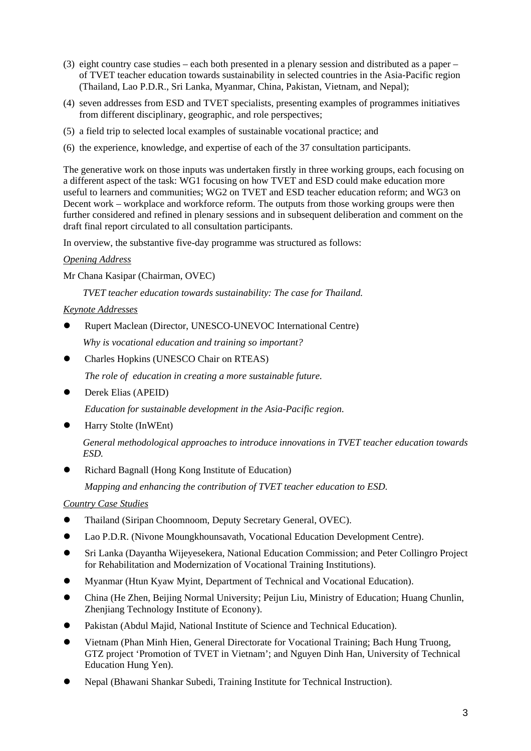- (3) eight country case studies each both presented in a plenary session and distributed as a paper of TVET teacher education towards sustainability in selected countries in the Asia-Pacific region (Thailand, Lao P.D.R., Sri Lanka, Myanmar, China, Pakistan, Vietnam, and Nepal);
- (4) seven addresses from ESD and TVET specialists, presenting examples of programmes initiatives from different disciplinary, geographic, and role perspectives;
- (5) a field trip to selected local examples of sustainable vocational practice; and
- (6) the experience, knowledge, and expertise of each of the 37 consultation participants.

The generative work on those inputs was undertaken firstly in three working groups, each focusing on a different aspect of the task: WG1 focusing on how TVET and ESD could make education more useful to learners and communities; WG2 on TVET and ESD teacher education reform; and WG3 on Decent work – workplace and workforce reform. The outputs from those working groups were then further considered and refined in plenary sessions and in subsequent deliberation and comment on the draft final report circulated to all consultation participants.

In overview, the substantive five-day programme was structured as follows:

#### *Opening Address*

Mr Chana Kasipar (Chairman, OVEC)

*TVET teacher education towards sustainability: The case for Thailand.* 

## *Keynote Addresses*

• Rupert Maclean (Director, UNESCO-UNEVOC International Centre)

*Why is vocational education and training so important?* 

 $\bullet$  Charles Hopkins (UNESCO Chair on RTEAS)

*The role of education in creating a more sustainable future.* 

Derek Elias (APEID)

*Education for sustainable development in the Asia-Pacific region.* 

Harry Stolte (InWEnt)

*General methodological approaches to introduce innovations in TVET teacher education towards ESD.* 

z Richard Bagnall (Hong Kong Institute of Education)

*Mapping and enhancing the contribution of TVET teacher education to ESD.* 

*Country Case Studies*

- $\bullet$  Thailand (Siripan Choomnoom, Deputy Secretary General, OVEC).
- **•** Lao P.D.R. (Nivone Moungkhounsavath, Vocational Education Development Centre).
- z Sri Lanka (Dayantha Wijeyesekera, National Education Commission; and Peter Collingro Project for Rehabilitation and Modernization of Vocational Training Institutions).
- Myanmar (Htun Kyaw Myint, Department of Technical and Vocational Education).
- China (He Zhen, Beijing Normal University; Peijun Liu, Ministry of Education; Huang Chunlin, Zhenjiang Technology Institute of Econony).
- Pakistan (Abdul Majid, National Institute of Science and Technical Education).
- Vietnam (Phan Minh Hien, General Directorate for Vocational Training; Bach Hung Truong, GTZ project 'Promotion of TVET in Vietnam'; and Nguyen Dinh Han, University of Technical Education Hung Yen).
- z Nepal (Bhawani Shankar Subedi, Training Institute for Technical Instruction).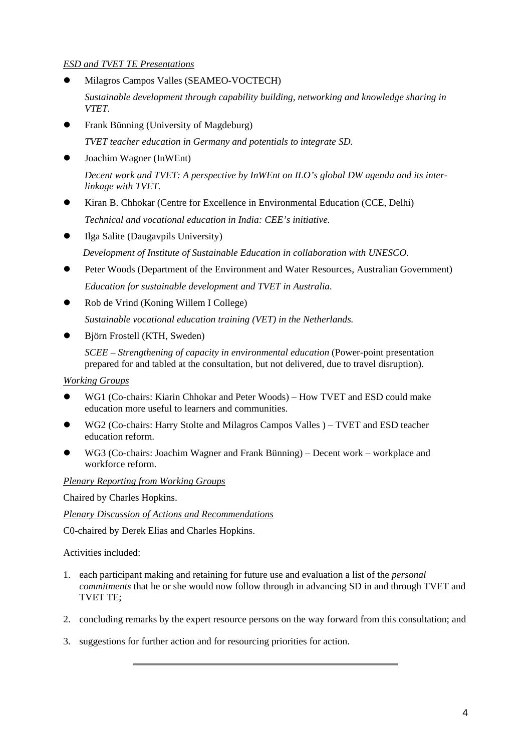## *ESD and TVET TE Presentations*

- z Milagros Campos Valles (SEAMEO-VOCTECH) *Sustainable development through capability building, networking and knowledge sharing in VTET.*
- Frank Bünning (University of Magdeburg) *TVET teacher education in Germany and potentials to integrate SD.*
- Joachim Wagner (InWEnt) *Decent work and TVET: A perspective by InWEnt on ILO's global DW agenda and its interlinkage with TVET.*
- Kiran B. Chhokar (Centre for Excellence in Environmental Education (CCE, Delhi) *Technical and vocational education in India: CEE's initiative.*
- $\bullet$  Ilga Salite (Daugavpils University) *Development of Institute of Sustainable Education in collaboration with UNESCO.*
- Peter Woods (Department of the Environment and Water Resources, Australian Government) *Education for sustainable development and TVET in Australia.*
- z Rob de Vrind (Koning Willem I College) *Sustainable vocational education training (VET) in the Netherlands.*
- Björn Frostell (KTH, Sweden)

*SCEE – Strengthening of capacity in environmental education* (Power-point presentation prepared for and tabled at the consultation, but not delivered, due to travel disruption).

## *Working Groups*

- WG1 (Co-chairs: Kiarin Chhokar and Peter Woods) How TVET and ESD could make education more useful to learners and communities.
- WG2 (Co-chairs: Harry Stolte and Milagros Campos Valles ) TVET and ESD teacher education reform.
- WG3 (Co-chairs: Joachim Wagner and Frank Bünning) Decent work workplace and workforce reform.

## *Plenary Reporting from Working Groups*

Chaired by Charles Hopkins.

*Plenary Discussion of Actions and Recommendations*

C0-chaired by Derek Elias and Charles Hopkins.

Activities included:

- 1. each participant making and retaining for future use and evaluation a list of the *personal commitments* that he or she would now follow through in advancing SD in and through TVET and TVET TE;
- 2. concluding remarks by the expert resource persons on the way forward from this consultation; and
- 3. suggestions for further action and for resourcing priorities for action.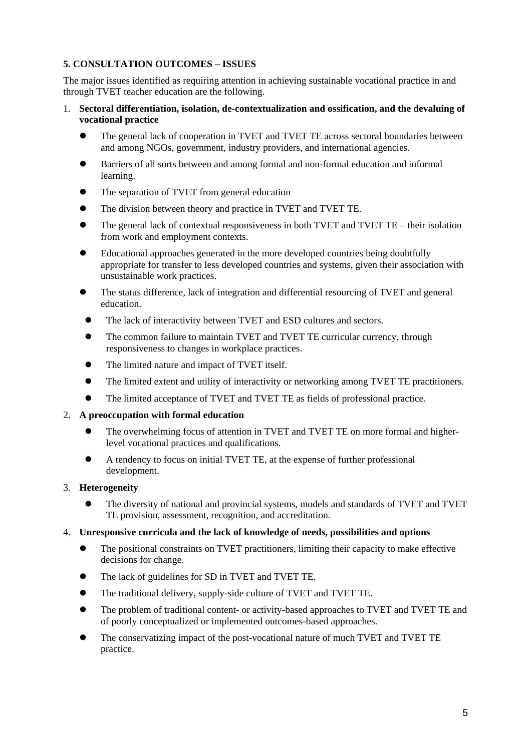## **5. CONSULTATION OUTCOMES – ISSUES**

The major issues identified as requiring attention in achieving sustainable vocational practice in and through TVET teacher education are the following.

- 1. **Sectoral differentiation, isolation, de-contextualization and ossification, and the devaluing of vocational practice**
	- The general lack of cooperation in TVET and TVET TE across sectoral boundaries between and among NGOs, government, industry providers, and international agencies.
	- Barriers of all sorts between and among formal and non-formal education and informal learning.
	- The separation of TVET from general education
	- The division between theory and practice in TVET and TVET TE.
	- $\bullet$  The general lack of contextual responsiveness in both TVET and TVET TE their isolation from work and employment contexts.
	- Educational approaches generated in the more developed countries being doubtfully appropriate for transfer to less developed countries and systems, given their association with unsustainable work practices.
	- The status difference, lack of integration and differential resourcing of TVET and general education.
	- The lack of interactivity between TVET and ESD cultures and sectors.
	- The common failure to maintain TVET and TVET TE curricular currency, through responsiveness to changes in workplace practices.
	- The limited nature and impact of TVET itself.
	- The limited extent and utility of interactivity or networking among TVET TE practitioners.
	- The limited acceptance of TVET and TVET TE as fields of professional practice.

#### 2. **A preoccupation with formal education**

- The overwhelming focus of attention in TVET and TVET TE on more formal and higherlevel vocational practices and qualifications.
- A tendency to focus on initial TVET TE, at the expense of further professional development.

#### 3. **Heterogeneity**

The diversity of national and provincial systems, models and standards of TVET and TVET TE provision, assessment, recognition, and accreditation.

#### 4. **Unresponsive curricula and the lack of knowledge of needs, possibilities and options**

- The positional constraints on TVET practitioners, limiting their capacity to make effective decisions for change.
- The lack of guidelines for SD in TVET and TVET TE.
- The traditional delivery, supply-side culture of TVET and TVET TE.
- The problem of traditional content- or activity-based approaches to TVET and TVET TE and of poorly conceptualized or implemented outcomes-based approaches.
- The conservatizing impact of the post-vocational nature of much TVET and TVET TE practice.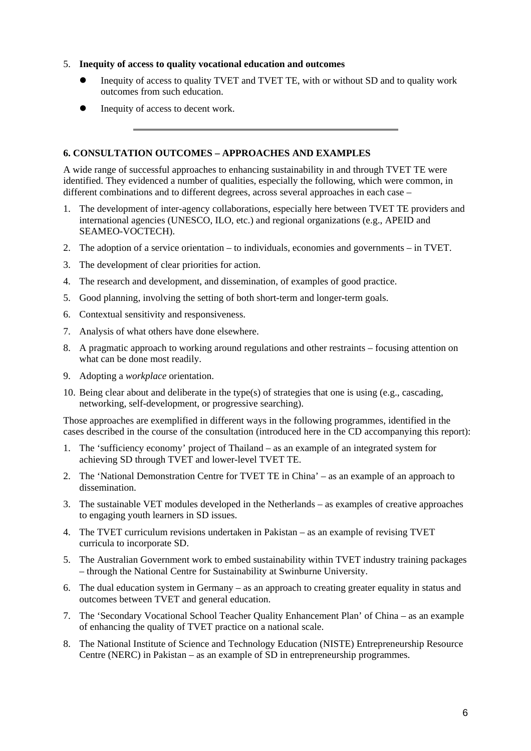#### 5. **Inequity of access to quality vocational education and outcomes**

- Inequity of access to quality TVET and TVET TE, with or without SD and to quality work outcomes from such education.
- Inequity of access to decent work.

#### **6. CONSULTATION OUTCOMES – APPROACHES AND EXAMPLES**

A wide range of successful approaches to enhancing sustainability in and through TVET TE were identified. They evidenced a number of qualities, especially the following, which were common, in different combinations and to different degrees, across several approaches in each case –

- 1. The development of inter-agency collaborations, especially here between TVET TE providers and international agencies (UNESCO, ILO, etc.) and regional organizations (e.g., APEID and SEAMEO-VOCTECH).
- 2. The adoption of a service orientation to individuals, economies and governments in TVET.
- 3. The development of clear priorities for action.
- 4. The research and development, and dissemination, of examples of good practice.
- 5. Good planning, involving the setting of both short-term and longer-term goals.
- 6. Contextual sensitivity and responsiveness.
- 7. Analysis of what others have done elsewhere.
- 8. A pragmatic approach to working around regulations and other restraints focusing attention on what can be done most readily.
- 9. Adopting a *workplace* orientation.
- 10. Being clear about and deliberate in the type(s) of strategies that one is using (e.g., cascading, networking, self-development, or progressive searching).

Those approaches are exemplified in different ways in the following programmes, identified in the cases described in the course of the consultation (introduced here in the CD accompanying this report):

- 1. The 'sufficiency economy' project of Thailand as an example of an integrated system for achieving SD through TVET and lower-level TVET TE.
- 2. The 'National Demonstration Centre for TVET TE in China' as an example of an approach to dissemination.
- 3. The sustainable VET modules developed in the Netherlands as examples of creative approaches to engaging youth learners in SD issues.
- 4. The TVET curriculum revisions undertaken in Pakistan as an example of revising TVET curricula to incorporate SD.
- 5. The Australian Government work to embed sustainability within TVET industry training packages – through the National Centre for Sustainability at Swinburne University.
- 6. The dual education system in Germany as an approach to creating greater equality in status and outcomes between TVET and general education.
- 7. The 'Secondary Vocational School Teacher Quality Enhancement Plan' of China as an example of enhancing the quality of TVET practice on a national scale.
- 8. The National Institute of Science and Technology Education (NISTE) Entrepreneurship Resource Centre (NERC) in Pakistan – as an example of SD in entrepreneurship programmes.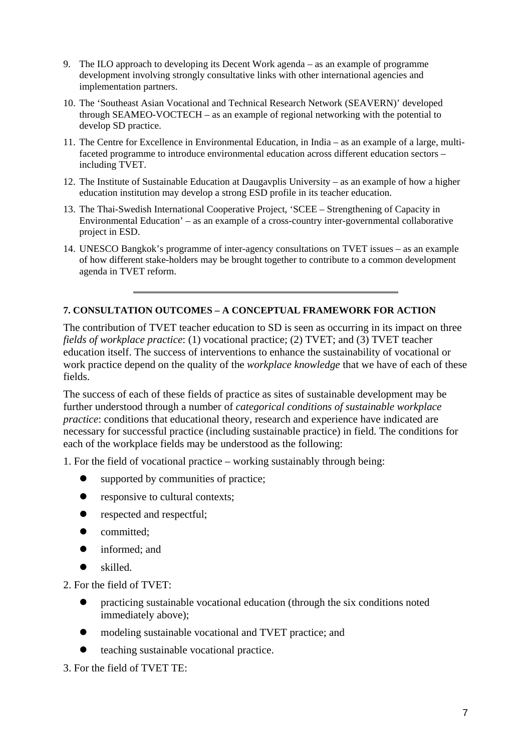- 9. The ILO approach to developing its Decent Work agenda as an example of programme development involving strongly consultative links with other international agencies and implementation partners.
- 10. The 'Southeast Asian Vocational and Technical Research Network (SEAVERN)' developed through SEAMEO-VOCTECH – as an example of regional networking with the potential to develop SD practice.
- 11. The Centre for Excellence in Environmental Education, in India as an example of a large, multifaceted programme to introduce environmental education across different education sectors – including TVET.
- 12. The Institute of Sustainable Education at Daugavplis University as an example of how a higher education institution may develop a strong ESD profile in its teacher education.
- 13. The Thai-Swedish International Cooperative Project, 'SCEE Strengthening of Capacity in Environmental Education' – as an example of a cross-country inter-governmental collaborative project in ESD.
- 14. UNESCO Bangkok's programme of inter-agency consultations on TVET issues as an example of how different stake-holders may be brought together to contribute to a common development agenda in TVET reform.

## **7. CONSULTATION OUTCOMES – A CONCEPTUAL FRAMEWORK FOR ACTION**

The contribution of TVET teacher education to SD is seen as occurring in its impact on three *fields of workplace practice*: (1) vocational practice; (2) TVET; and (3) TVET teacher education itself. The success of interventions to enhance the sustainability of vocational or work practice depend on the quality of the *workplace knowledge* that we have of each of these fields.

The success of each of these fields of practice as sites of sustainable development may be further understood through a number of *categorical conditions of sustainable workplace practice*: conditions that educational theory, research and experience have indicated are necessary for successful practice (including sustainable practice) in field. The conditions for each of the workplace fields may be understood as the following:

1. For the field of vocational practice – working sustainably through being:

- $\bullet$  supported by communities of practice;
- $\bullet$  responsive to cultural contexts;
- $\bullet$  respected and respectful:
- committed;
- $\bullet$  informed; and
- $\bullet$  skilled.

2. For the field of TVET:

- $\bullet$  practicing sustainable vocational education (through the six conditions noted immediately above);
- modeling sustainable vocational and TVET practice; and
- teaching sustainable vocational practice.

3. For the field of TVET TE: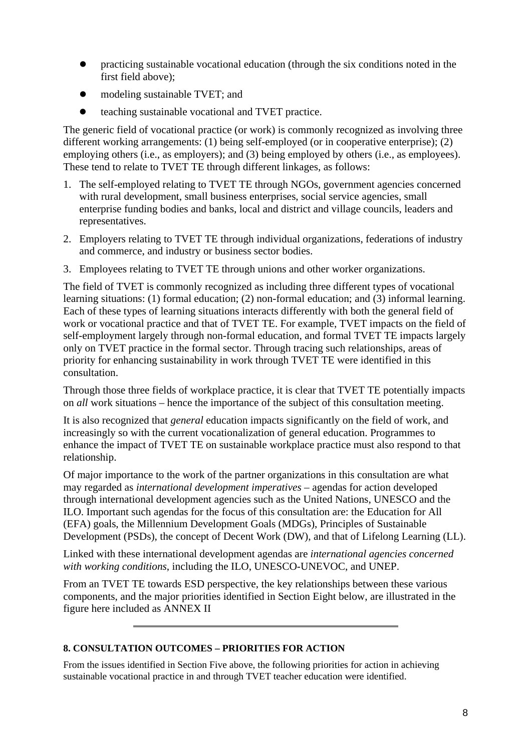- $\bullet$  practicing sustainable vocational education (through the six conditions noted in the first field above);
- modeling sustainable TVET; and
- teaching sustainable vocational and TVET practice.

The generic field of vocational practice (or work) is commonly recognized as involving three different working arrangements: (1) being self-employed (or in cooperative enterprise); (2) employing others (i.e., as employers); and (3) being employed by others (i.e., as employees). These tend to relate to TVET TE through different linkages, as follows:

- 1. The self-employed relating to TVET TE through NGOs, government agencies concerned with rural development, small business enterprises, social service agencies, small enterprise funding bodies and banks, local and district and village councils, leaders and representatives.
- 2. Employers relating to TVET TE through individual organizations, federations of industry and commerce, and industry or business sector bodies.
- 3. Employees relating to TVET TE through unions and other worker organizations.

The field of TVET is commonly recognized as including three different types of vocational learning situations: (1) formal education; (2) non-formal education; and (3) informal learning. Each of these types of learning situations interacts differently with both the general field of work or vocational practice and that of TVET TE. For example, TVET impacts on the field of self-employment largely through non-formal education, and formal TVET TE impacts largely only on TVET practice in the formal sector. Through tracing such relationships, areas of priority for enhancing sustainability in work through TVET TE were identified in this consultation.

Through those three fields of workplace practice, it is clear that TVET TE potentially impacts on *all* work situations – hence the importance of the subject of this consultation meeting.

It is also recognized that *general* education impacts significantly on the field of work, and increasingly so with the current vocationalization of general education. Programmes to enhance the impact of TVET TE on sustainable workplace practice must also respond to that relationship.

Of major importance to the work of the partner organizations in this consultation are what may regarded as *international development imperatives* – agendas for action developed through international development agencies such as the United Nations, UNESCO and the ILO. Important such agendas for the focus of this consultation are: the Education for All (EFA) goals, the Millennium Development Goals (MDGs), Principles of Sustainable Development (PSDs), the concept of Decent Work (DW), and that of Lifelong Learning (LL).

Linked with these international development agendas are *international agencies concerned with working conditions*, including the ILO, UNESCO-UNEVOC, and UNEP.

From an TVET TE towards ESD perspective, the key relationships between these various components, and the major priorities identified in Section Eight below, are illustrated in the figure here included as ANNEX II

## **8. CONSULTATION OUTCOMES – PRIORITIES FOR ACTION**

From the issues identified in Section Five above, the following priorities for action in achieving sustainable vocational practice in and through TVET teacher education were identified.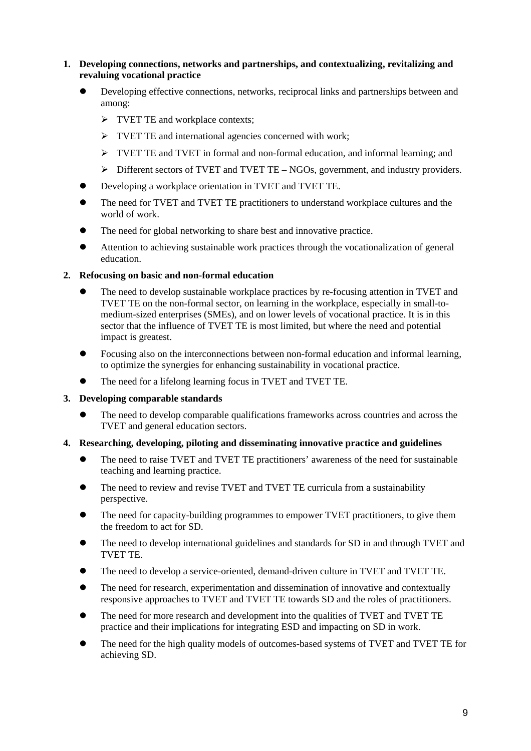#### **1. Developing connections, networks and partnerships, and contextualizing, revitalizing and revaluing vocational practice**

- Developing effective connections, networks, reciprocal links and partnerships between and among:
	- $\triangleright$  TVET TE and workplace contexts;
	- $\triangleright$  TVET TE and international agencies concerned with work;
	- $\triangleright$  TVET TE and TVET in formal and non-formal education, and informal learning; and
	- ¾ Different sectors of TVET and TVET TE NGOs, government, and industry providers.
- Developing a workplace orientation in TVET and TVET TE.
- The need for TVET and TVET TE practitioners to understand workplace cultures and the world of work.
- The need for global networking to share best and innovative practice.
- Attention to achieving sustainable work practices through the vocationalization of general education.

#### **2. Refocusing on basic and non-formal education**

- The need to develop sustainable workplace practices by re-focusing attention in TVET and TVET TE on the non-formal sector, on learning in the workplace, especially in small-tomedium-sized enterprises (SMEs), and on lower levels of vocational practice. It is in this sector that the influence of TVET TE is most limited, but where the need and potential impact is greatest.
- Focusing also on the interconnections between non-formal education and informal learning, to optimize the synergies for enhancing sustainability in vocational practice.
- The need for a lifelong learning focus in TVET and TVET TE.
- **3. Developing comparable standards**
	- The need to develop comparable qualifications frameworks across countries and across the TVET and general education sectors.
- **4. Researching, developing, piloting and disseminating innovative practice and guidelines**
	- The need to raise TVET and TVET TE practitioners' awareness of the need for sustainable teaching and learning practice.
	- The need to review and revise TVET and TVET TE curricula from a sustainability perspective.
	- The need for capacity-building programmes to empower TVET practitioners, to give them the freedom to act for SD.
	- The need to develop international guidelines and standards for SD in and through TVET and TVET TE.
	- The need to develop a service-oriented, demand-driven culture in TVET and TVET TE.
	- The need for research, experimentation and dissemination of innovative and contextually responsive approaches to TVET and TVET TE towards SD and the roles of practitioners.
	- The need for more research and development into the qualities of TVET and TVET TE practice and their implications for integrating ESD and impacting on SD in work.
	- The need for the high quality models of outcomes-based systems of TVET and TVET TE for achieving SD.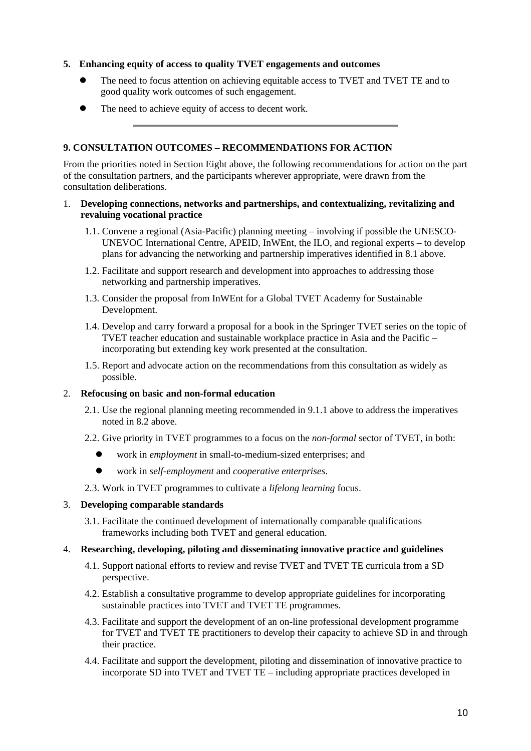#### **5. Enhancing equity of access to quality TVET engagements and outcomes**

- The need to focus attention on achieving equitable access to TVET and TVET TE and to good quality work outcomes of such engagement.
- The need to achieve equity of access to decent work.

#### **9. CONSULTATION OUTCOMES – RECOMMENDATIONS FOR ACTION**

From the priorities noted in Section Eight above, the following recommendations for action on the part of the consultation partners, and the participants wherever appropriate, were drawn from the consultation deliberations.

#### 1. **Developing connections, networks and partnerships, and contextualizing, revitalizing and revaluing vocational practice**

- 1.1. Convene a regional (Asia-Pacific) planning meeting involving if possible the UNESCO-UNEVOC International Centre, APEID, InWEnt, the ILO, and regional experts – to develop plans for advancing the networking and partnership imperatives identified in 8.1 above.
- 1.2. Facilitate and support research and development into approaches to addressing those networking and partnership imperatives.
- 1.3. Consider the proposal from InWEnt for a Global TVET Academy for Sustainable Development.
- 1.4. Develop and carry forward a proposal for a book in the Springer TVET series on the topic of TVET teacher education and sustainable workplace practice in Asia and the Pacific – incorporating but extending key work presented at the consultation.
- 1.5. Report and advocate action on the recommendations from this consultation as widely as possible.

#### 2. **Refocusing on basic and non-formal education**

- 2.1. Use the regional planning meeting recommended in 9.1.1 above to address the imperatives noted in 8.2 above.
- 2.2. Give priority in TVET programmes to a focus on the *non-formal* sector of TVET, in both:
	- z work in *employment* in small-to-medium-sized enterprises; and
	- z work in *self-employment* and *cooperative enterprises*.
- 2.3. Work in TVET programmes to cultivate a *lifelong learning* focus.

## 3. **Developing comparable standards**

3.1. Facilitate the continued development of internationally comparable qualifications frameworks including both TVET and general education.

#### 4. **Researching, developing, piloting and disseminating innovative practice and guidelines**

- 4.1. Support national efforts to review and revise TVET and TVET TE curricula from a SD perspective.
- 4.2. Establish a consultative programme to develop appropriate guidelines for incorporating sustainable practices into TVET and TVET TE programmes.
- 4.3. Facilitate and support the development of an on-line professional development programme for TVET and TVET TE practitioners to develop their capacity to achieve SD in and through their practice.
- 4.4. Facilitate and support the development, piloting and dissemination of innovative practice to incorporate SD into TVET and TVET TE – including appropriate practices developed in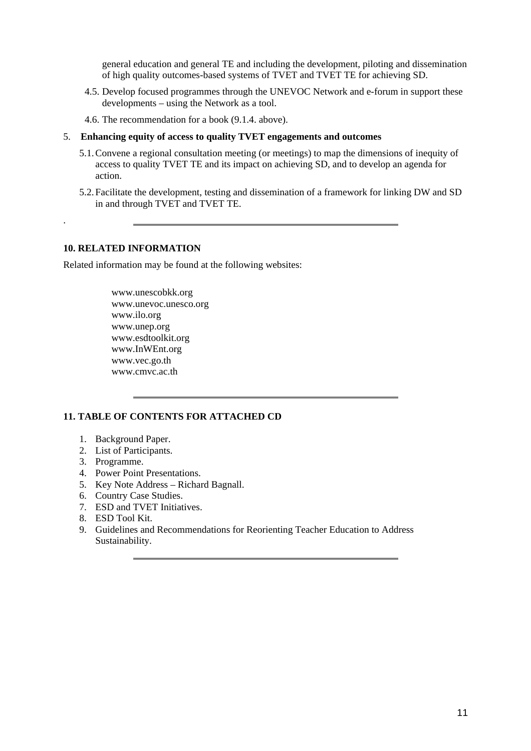general education and general TE and including the development, piloting and dissemination of high quality outcomes-based systems of TVET and TVET TE for achieving SD.

- 4.5. Develop focused programmes through the UNEVOC Network and e-forum in support these developments – using the Network as a tool.
- 4.6. The recommendation for a book (9.1.4. above).
- 5. **Enhancing equity of access to quality TVET engagements and outcomes**
	- 5.1.Convene a regional consultation meeting (or meetings) to map the dimensions of inequity of access to quality TVET TE and its impact on achieving SD, and to develop an agenda for action.
	- 5.2.Facilitate the development, testing and dissemination of a framework for linking DW and SD in and through TVET and TVET TE.

#### **10. RELATED INFORMATION**

.

Related information may be found at the following websites:

[www.unescobkk.org](http://www.unescobkk.org/)  [www.unevoc.unesco.org](http://www.unevoc.unesco.org/)  [www.ilo.org](http://www.ilo.org/)  [www.unep.org](http://www.unep.org/)  [www.esdtoolkit.org](http://www.esdtoolkit.org/)  [www.InWEnt.org](http://www.inwent.org/)  [www.vec.go.th](http://www.vec.go.th/)  www.cmvc.ac.th

#### **11. TABLE OF CONTENTS FOR ATTACHED CD**

- 1. Background Paper.
- 2. List of Participants.
- 3. Programme.
- 4. Power Point Presentations.
- 5. Key Note Address Richard Bagnall.
- 6. Country Case Studies.
- 7. ESD and TVET Initiatives.
- 8. ESD Tool Kit.
- 9. Guidelines and Recommendations for Reorienting Teacher Education to Address Sustainability.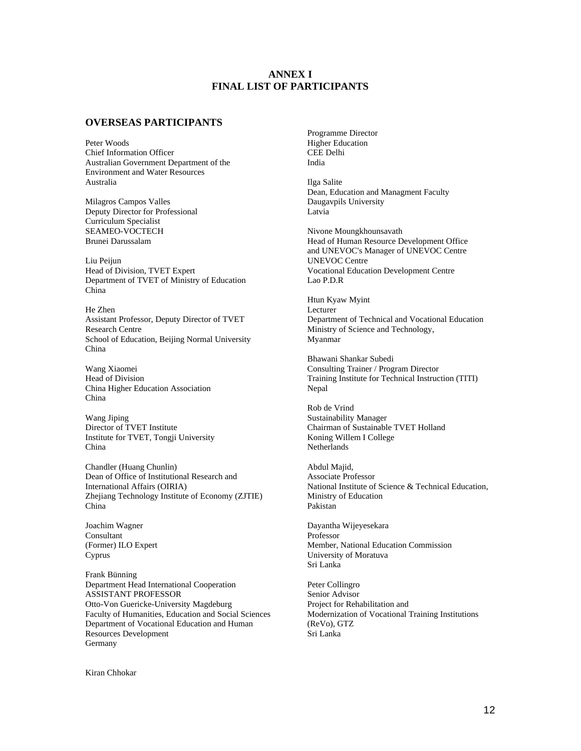#### **ANNEX I FINAL LIST OF PARTICIPANTS**

#### **OVERSEAS PARTICIPANTS**

Peter Woods Chief Information Officer Australian Government Department of the Environment and Water Resources Australia

Milagros Campos Valles Deputy Director for Professional Curriculum Specialist SEAMEO-VOCTECH Brunei Darussalam

Liu Peijun Head of Division, TVET Expert Department of TVET of Ministry of Education China

He Zhen Assistant Professor, Deputy Director of TVET Research Centre School of Education, Beijing Normal University China

Wang Xiaomei Head of Division China Higher Education Association China

Wang Jiping Director of TVET Institute Institute for TVET, Tongji University China

Chandler (Huang Chunlin) Dean of Office of Institutional Research and International Affairs (OIRIA) Zhejiang Technology Institute of Economy (ZJTIE) China

Joachim Wagner Consultant (Former) ILO Expert Cyprus

Frank Bünning Department Head International Cooperation ASSISTANT PROFESSOR Otto-Von Guericke-University Magdeburg Faculty of Humanities, Education and Social Sciences Department of Vocational Education and Human Resources Development Germany

Programme Director Higher Education CEE Delhi India

Ilga Salite Dean, Education and Managment Faculty Daugavpils University Latvia

Nivone Moungkhounsavath Head of Human Resource Development Office and UNEVOC's Manager of UNEVOC Centre UNEVOC Centre Vocational Education Development Centre Lao P.D.R

Htun Kyaw Myint Lecturer Department of Technical and Vocational Education Ministry of Science and Technology, Myanmar

Bhawani Shankar Subedi Consulting Trainer / Program Director Training Institute for Technical Instruction (TITI) Nepal

Rob de Vrind Sustainability Manager Chairman of Sustainable TVET Holland Koning Willem I College Netherlands

Abdul Majid, Associate Professor National Institute of Science & Technical Education, Ministry of Education Pakistan

Dayantha Wijeyesekara Professor Member, National Education Commission University of Moratuva Sri Lanka

Peter Collingro Senior Advisor Project for Rehabilitation and Modernization of Vocational Training Institutions (ReVo), GTZ Sri Lanka

Kiran Chhokar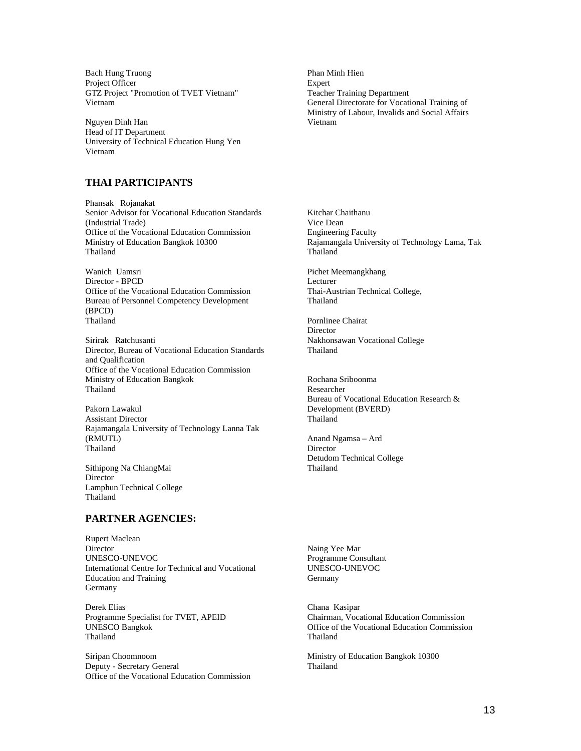Bach Hung Truong Project Officer GTZ Project "Promotion of TVET Vietnam" Vietnam

Nguyen Dinh Han Head of IT Department University of Technical Education Hung Yen Vietnam

#### **THAI PARTICIPANTS**

Phansak Rojanakat Senior Advisor for Vocational Education Standards (Industrial Trade) Office of the Vocational Education Commission Ministry of Education Bangkok 10300 Thailand

Wanich Uamsri Director - BPCD Office of the Vocational Education Commission Bureau of Personnel Competency Development (BPCD) Thailand

Sirirak Ratchusanti Director, Bureau of Vocational Education Standards and Qualification Office of the Vocational Education Commission Ministry of Education Bangkok Thailand

Pakorn Lawakul Assistant Director Rajamangala University of Technology Lanna Tak (RMUTL) Thailand

Sithipong Na ChiangMai Director Lamphun Technical College Thailand

#### **PARTNER AGENCIES:**

Rupert Maclean Director UNESCO-UNEVOC International Centre for Technical and Vocational Education and Training Germany

Derek Elias Programme Specialist for TVET, APEID UNESCO Bangkok Thailand

Siripan Choomnoom Deputy - Secretary General Office of the Vocational Education Commission Phan Minh Hien Expert Teacher Training Department General Directorate for Vocational Training of Ministry of Labour, Invalids and Social Affairs Vietnam

Kitchar Chaithanu Vice Dean Engineering Faculty Rajamangala University of Technology Lama, Tak Thailand

Pichet Meemangkhang Lecturer Thai-Austrian Technical College, Thailand

Pornlinee Chairat **Director** Nakhonsawan Vocational College Thailand

Rochana Sriboonma Researcher Bureau of Vocational Education Research & Development (BVERD) Thailand

Anand Ngamsa – Ard Director Detudom Technical College Thailand

Naing Yee Mar Programme Consultant UNESCO-UNEVOC **Germany** 

Chana Kasipar Chairman, Vocational Education Commission Office of the Vocational Education Commission Thailand

Ministry of Education Bangkok 10300 Thailand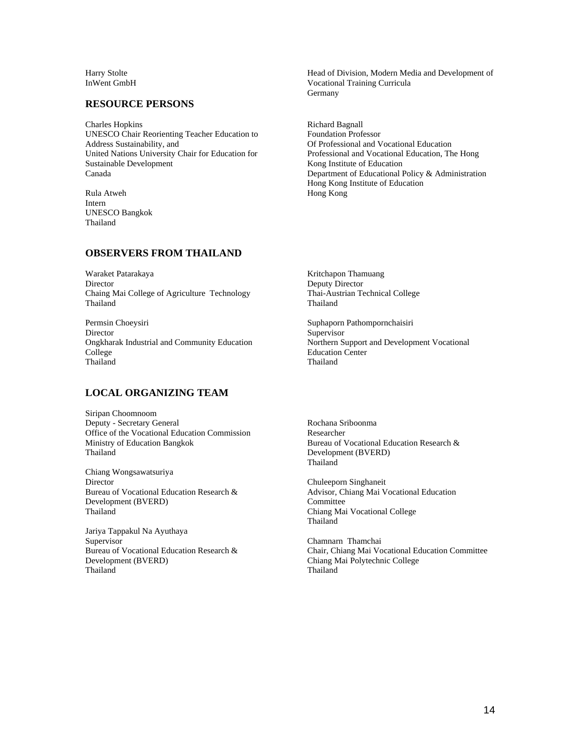Harry Stolte InWent GmbH

#### **RESOURCE PERSONS**

Charles Hopkins UNESCO Chair Reorienting Teacher Education to Address Sustainability, and United Nations University Chair for Education for Sustainable Development Canada

Rula Atweh Intern UNESCO Bangkok Thailand

#### **OBSERVERS FROM THAILAND**

Waraket Patarakaya Director Chaing Mai College of Agriculture Technology Thailand

Permsin Choeysiri Director Ongkharak Industrial and Community Education College Thailand

#### **LOCAL ORGANIZING TEAM**

Siripan Choomnoom Deputy - Secretary General Office of the Vocational Education Commission Ministry of Education Bangkok Thailand

Chiang Wongsawatsuriya Director Bureau of Vocational Education Research & Development (BVERD) Thailand

Jariya Tappakul Na Ayuthaya Supervisor Bureau of Vocational Education Research & Development (BVERD) Thailand

Head of Division, Modern Media and Development of Vocational Training Curricula Germany

Richard Bagnall Foundation Professor Of Professional and Vocational Education Professional and Vocational Education, The Hong Kong Institute of Education Department of Educational Policy & Administration Hong Kong Institute of Education Hong Kong

Kritchapon Thamuang Deputy Director Thai-Austrian Technical College Thailand

Suphaporn Pathompornchaisiri Supervisor Northern Support and Development Vocational Education Center Thailand

Rochana Sriboonma Researcher Bureau of Vocational Education Research & Development (BVERD) Thailand

Chuleeporn Singhaneit Advisor, Chiang Mai Vocational Education Committee Chiang Mai Vocational College Thailand

Chamnarn Thamchai Chair, Chiang Mai Vocational Education Committee Chiang Mai Polytechnic College Thailand